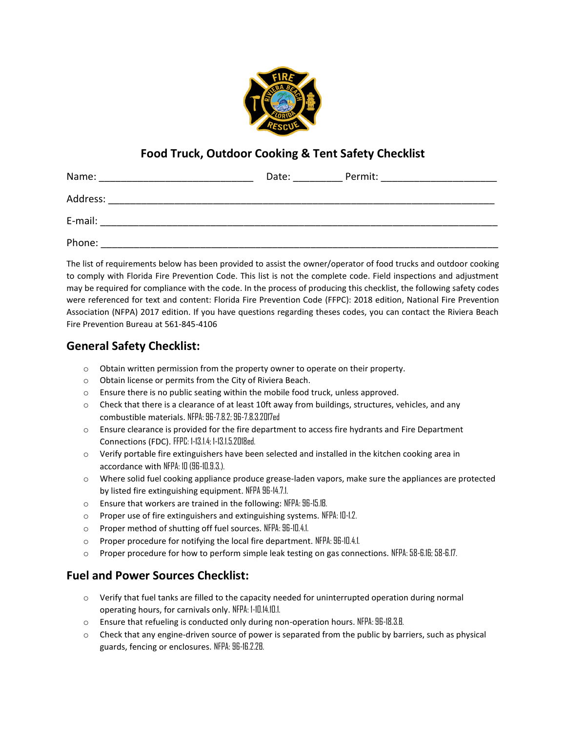

# **Food Truck, Outdoor Cooking & Tent Safety Checklist**

| Name:    | Date: | Permit: |
|----------|-------|---------|
| Address: |       |         |
| E-mail:  |       |         |
| Phone:   |       |         |

The list of requirements below has been provided to assist the owner/operator of food trucks and outdoor cooking to comply with Florida Fire Prevention Code. This list is not the complete code. Field inspections and adjustment may be required for compliance with the code. In the process of producing this checklist, the following safety codes were referenced for text and content: Florida Fire Prevention Code (FFPC): 2018 edition, National Fire Prevention Association (NFPA) 2017 edition. If you have questions regarding theses codes, you can contact the Riviera Beach Fire Prevention Bureau at 561-845-4106

## **General Safety Checklist:**

- o Obtain written permission from the property owner to operate on their property.
- o Obtain license or permits from the City of Riviera Beach.
- $\circ$  Ensure there is no public seating within the mobile food truck, unless approved.
- o Check that there is a clearance of at least 10ft away from buildings, structures, vehicles, and any combustible materials. NFPA: 96-7.8.2; 96-7.8.3.2017ed
- o Ensure clearance is provided for the fire department to access fire hydrants and Fire Department Connections (FDC). FFPC: 1-13.1.4; 1-13.1.5.2018ed.
- $\circ$  Verify portable fire extinguishers have been selected and installed in the kitchen cooking area in accordance with NFPA: 10 (96-10.9.3.).
- $\circ$  Where solid fuel cooking appliance produce grease-laden vapors, make sure the appliances are protected by listed fire extinguishing equipment. NFPA 96-14.7.1.
- o Ensure that workers are trained in the following: NFPA: 96-15.1B.
- o Proper use of fire extinguishers and extinguishing systems. NFPA: 10-1.2.
- o Proper method of shutting off fuel sources. NFPA: 96-10.4.1.
- o Proper procedure for notifying the local fire department. NFPA: 96-10.4.1.
- o Proper procedure for how to perform simple leak testing on gas connections. NFPA: 58-6.16; 58-6.17.

## **Fuel and Power Sources Checklist:**

- o Verify that fuel tanks are filled to the capacity needed for uninterrupted operation during normal operating hours, for carnivals only. NFPA: 1-10.14.10.1.
- o Ensure that refueling is conducted only during non-operation hours. NFPA: 96-18.3.B.
- o Check that any engine-driven source of power is separated from the public by barriers, such as physical guards, fencing or enclosures. NFPA: 96-16.2.2B.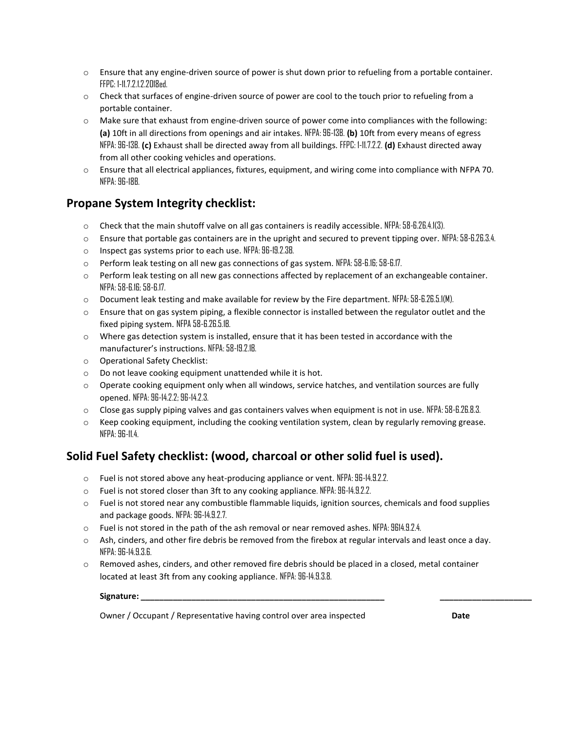- o Ensure that any engine-driven source of power is shut down prior to refueling from a portable container. FFPC: 1-11.7.2.1.2.2018ed.
- o Check that surfaces of engine-driven source of power are cool to the touch prior to refueling from a portable container.
- o Make sure that exhaust from engine-driven source of power come into compliances with the following: **(a)** 10ft in all directions from openings and air intakes. NFPA: 96-13B. **(b)** 10ft from every means of egress NFPA: 96-13B. **(c)** Exhaust shall be directed away from all buildings. FFPC: 1-11.7.2.2. **(d)** Exhaust directed away from all other cooking vehicles and operations.
- o Ensure that all electrical appliances, fixtures, equipment, and wiring come into compliance with NFPA 70. NFPA: 96-18B.

#### **Propane System Integrity checklist:**

- $\circ$  Check that the main shutoff valve on all gas containers is readily accessible. NFPA: 58-6.26.4.1(3).
- $\circ$  Ensure that portable gas containers are in the upright and secured to prevent tipping over. NFPA: 58-6.26.3.4.
- o Inspect gas systems prior to each use. NFPA: 96-19.2.3B.
- o Perform leak testing on all new gas connections of gas system. NFPA: 58-6.16; 58-6.17.
- $\circ$  Perform leak testing on all new gas connections affected by replacement of an exchangeable container. NFPA: 58-6.16; 58-6.17.
- $\circ$  Document leak testing and make available for review by the Fire department. NFPA: 58-6.26.5.1(M).
- $\circ$  Ensure that on gas system piping, a flexible connector is installed between the regulator outlet and the fixed piping system. NFPA 58-6.26.5.1B.
- $\circ$  Where gas detection system is installed, ensure that it has been tested in accordance with the manufacturer's instructions. NFPA: 58-19.2.1B.
- o Operational Safety Checklist:
- o Do not leave cooking equipment unattended while it is hot.
- o Operate cooking equipment only when all windows, service hatches, and ventilation sources are fully opened. NFPA: 96-14.2.2; 96-14.2.3.
- $\circ$  Close gas supply piping valves and gas containers valves when equipment is not in use. NFPA: 58-6.26.8.3.
- $\circ$  Keep cooking equipment, including the cooking ventilation system, clean by regularly removing grease. NFPA: 96-11.4.

## **Solid Fuel Safety checklist: (wood, charcoal or other solid fuel is used).**

- $\circ$  Fuel is not stored above any heat-producing appliance or vent. NFPA: 96-14.9.2.2.
- o Fuel is not stored closer than 3ft to any cooking appliance. NFPA: 96-14.9.2.2.
- o Fuel is not stored near any combustible flammable liquids, ignition sources, chemicals and food supplies and package goods. NFPA: 96-14.9.2.7.
- o Fuel is not stored in the path of the ash removal or near removed ashes. NFPA: 9614.9.2.4.
- o Ash, cinders, and other fire debris be removed from the firebox at regular intervals and least once a day. NFPA: 96-14.9.3.6.
- $\circ$  Removed ashes, cinders, and other removed fire debris should be placed in a closed, metal container located at least 3ft from any cooking appliance. NFPA: 96-14.9.3.8.

**Signature: \_\_\_\_\_\_\_\_\_\_\_\_\_\_\_\_\_\_\_\_\_\_\_\_\_\_\_\_\_\_\_\_\_\_\_\_\_\_\_\_\_\_\_\_\_\_\_\_\_\_\_\_\_ \_\_\_\_\_\_\_\_\_\_\_\_\_\_\_\_\_\_\_\_**

Owner / Occupant / Representative having control over area inspected **Date**